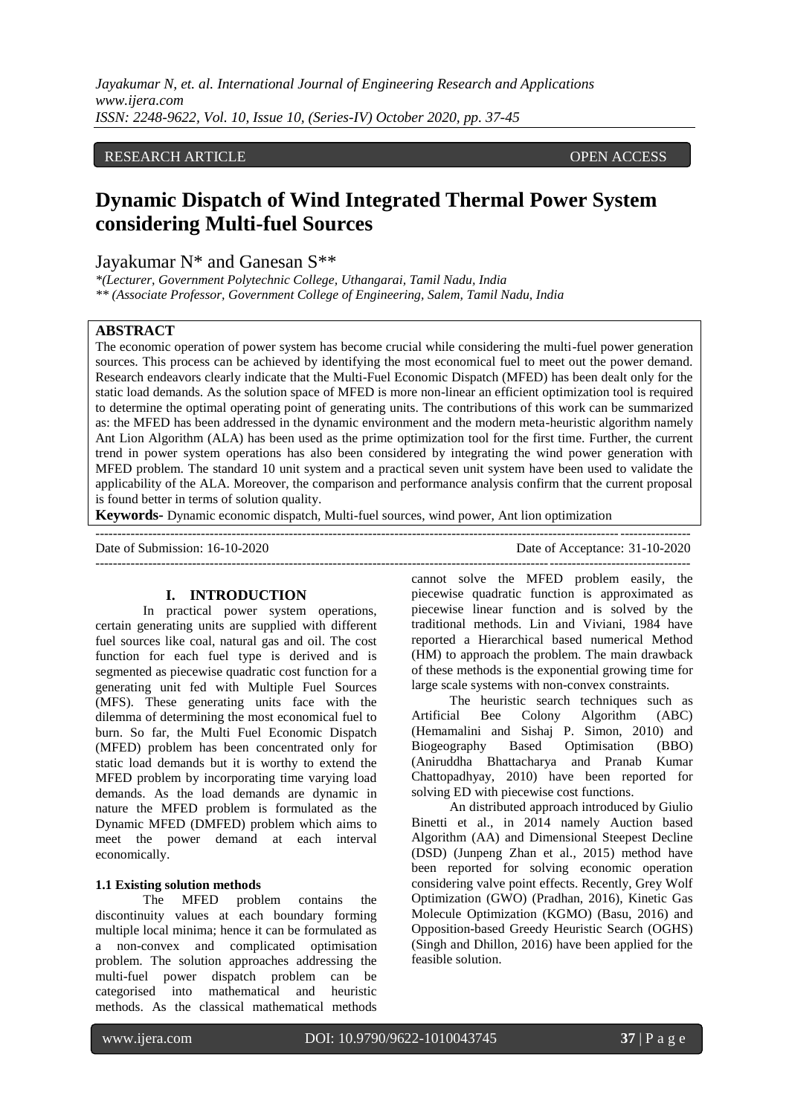# RESEARCH ARTICLE **ARTICLE** AND **CONSTRUCTER** OPEN ACCESS OPEN ACCESS

# **Dynamic Dispatch of Wind Integrated Thermal Power System considering Multi-fuel Sources**

Jayakumar N\* and Ganesan S\*\*

*\*(Lecturer, Government Polytechnic College, Uthangarai, Tamil Nadu, India \*\* (Associate Professor, Government College of Engineering, Salem, Tamil Nadu, India*

# **ABSTRACT**

The economic operation of power system has become crucial while considering the multi-fuel power generation sources. This process can be achieved by identifying the most economical fuel to meet out the power demand. Research endeavors clearly indicate that the Multi-Fuel Economic Dispatch (MFED) has been dealt only for the static load demands. As the solution space of MFED is more non-linear an efficient optimization tool is required to determine the optimal operating point of generating units. The contributions of this work can be summarized as: the MFED has been addressed in the dynamic environment and the modern meta-heuristic algorithm namely Ant Lion Algorithm (ALA) has been used as the prime optimization tool for the first time. Further, the current trend in power system operations has also been considered by integrating the wind power generation with MFED problem. The standard 10 unit system and a practical seven unit system have been used to validate the applicability of the ALA. Moreover, the comparison and performance analysis confirm that the current proposal is found better in terms of solution quality.

---------------------------------------------------------------------------------------------------------------------------------------

**Keywords-** Dynamic economic dispatch, Multi-fuel sources, wind power, Ant lion optimization

---------------------------------------------------------------------------------------------------------------------------------------

Date of Submission: 16-10-2020 Date of Acceptance: 31-10-2020

# **I. INTRODUCTION**

In practical power system operations, certain generating units are supplied with different fuel sources like coal, natural gas and oil. The cost function for each fuel type is derived and is segmented as piecewise quadratic cost function for a generating unit fed with Multiple Fuel Sources (MFS). These generating units face with the dilemma of determining the most economical fuel to burn. So far, the Multi Fuel Economic Dispatch (MFED) problem has been concentrated only for static load demands but it is worthy to extend the MFED problem by incorporating time varying load demands. As the load demands are dynamic in nature the MFED problem is formulated as the Dynamic MFED (DMFED) problem which aims to meet the power demand at each interval economically.

# **1.1 Existing solution methods**

The MFED problem contains the discontinuity values at each boundary forming multiple local minima; hence it can be formulated as a non-convex and complicated optimisation problem. The solution approaches addressing the multi-fuel power dispatch problem can be categorised into mathematical and heuristic methods. As the classical mathematical methods

cannot solve the MFED problem easily, the piecewise quadratic function is approximated as piecewise linear function and is solved by the traditional methods. Lin and Viviani, 1984 have reported a Hierarchical based numerical Method (HM) to approach the problem. The main drawback of these methods is the exponential growing time for large scale systems with non-convex constraints.

The heuristic search techniques such as<br>Artificial Bee Colony Algorithm (ABC) Colony Algorithm (ABC) (Hemamalini and Sishaj P. Simon, 2010) and Biogeography Based Optimisation (BBO) (Aniruddha Bhattacharya and Pranab Kumar Chattopadhyay, 2010) have been reported for solving ED with piecewise cost functions.

An distributed approach introduced by Giulio Binetti et al., in 2014 namely Auction based Algorithm (AA) and Dimensional Steepest Decline (DSD) (Junpeng Zhan et al., 2015) method have been reported for solving economic operation considering valve point effects. Recently, Grey Wolf Optimization (GWO) (Pradhan, 2016), Kinetic Gas Molecule Optimization (KGMO) (Basu, 2016) and Opposition-based Greedy Heuristic Search (OGHS) (Singh and Dhillon, 2016) have been applied for the feasible solution.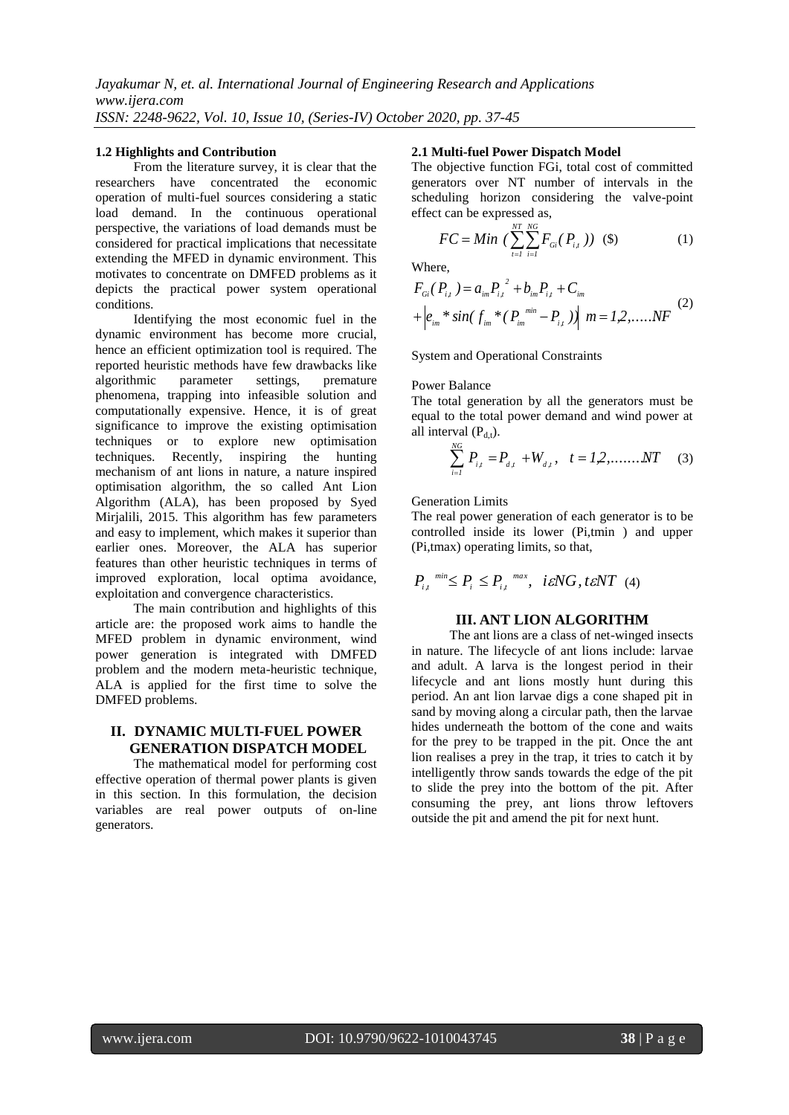#### **1.2 Highlights and Contribution**

From the literature survey, it is clear that the researchers have concentrated the economic operation of multi-fuel sources considering a static load demand. In the continuous operational perspective, the variations of load demands must be considered for practical implications that necessitate extending the MFED in dynamic environment. This motivates to concentrate on DMFED problems as it depicts the practical power system operational conditions.

Identifying the most economic fuel in the dynamic environment has become more crucial, hence an efficient optimization tool is required. The reported heuristic methods have few drawbacks like algorithmic parameter settings, premature phenomena, trapping into infeasible solution and computationally expensive. Hence, it is of great significance to improve the existing optimisation techniques or to explore new optimisation techniques. Recently, inspiring the hunting mechanism of ant lions in nature, a nature inspired optimisation algorithm, the so called Ant Lion Algorithm (ALA), has been proposed by Syed Mirjalili, 2015. This algorithm has few parameters and easy to implement, which makes it superior than earlier ones. Moreover, the ALA has superior features than other heuristic techniques in terms of improved exploration, local optima avoidance, exploitation and convergence characteristics.

The main contribution and highlights of this article are: the proposed work aims to handle the MFED problem in dynamic environment, wind power generation is integrated with DMFED problem and the modern meta-heuristic technique, ALA is applied for the first time to solve the DMFED problems.

# **II. DYNAMIC MULTI-FUEL POWER GENERATION DISPATCH MODEL**

The mathematical model for performing cost effective operation of thermal power plants is given in this section. In this formulation, the decision variables are real power outputs of on-line generators.

#### **2.1 Multi-fuel Power Dispatch Model**

The objective function FGi, total cost of committed generators over NT number of intervals in the scheduling horizon considering the valve-point effect can be expressed as,

$$
FC = Min \left( \sum_{i=1}^{NT} \sum_{i=1}^{NG} F_{Gi} (P_{i,t} ) \right) \tag{3}
$$

Where,

$$
F_{Gi}(P_{i,t}) = a_{im} P_{i,t}^{2} + b_{im} P_{i,t} + C_{im}
$$
  
+ 
$$
\left| e_{im} * sin(f_{im} * (P_{im}^{min} - P_{i,t}) ) \right| m = 1,2,...,NF
$$
 (2)

System and Operational Constraints

#### Power Balance

The total generation by all the generators must be equal to the total power demand and wind power at all interval  $(P_{d,t})$ .

$$
\sum_{i=1}^{NG} P_{i,t} = P_{d,t} + W_{d,t}, \quad t = 1, 2, \dots, NT \tag{3}
$$

Generation Limits

The real power generation of each generator is to be controlled inside its lower (Pi,tmin ) and upper (Pi,tmax) operating limits, so that,

$$
P_{i,t}^{min} \leq P_i \leq P_{i,t}^{max}, \quad i \in NG, \, t \in NT \, (4)
$$

## **III. ANT LION ALGORITHM**

The ant lions are a class of net-winged insects in nature. The lifecycle of ant lions include: larvae and adult. A larva is the longest period in their lifecycle and ant lions mostly hunt during this period. An ant lion larvae digs a cone shaped pit in sand by moving along a circular path, then the larvae hides underneath the bottom of the cone and waits for the prey to be trapped in the pit. Once the ant lion realises a prey in the trap, it tries to catch it by intelligently throw sands towards the edge of the pit to slide the prey into the bottom of the pit. After consuming the prey, ant lions throw leftovers outside the pit and amend the pit for next hunt.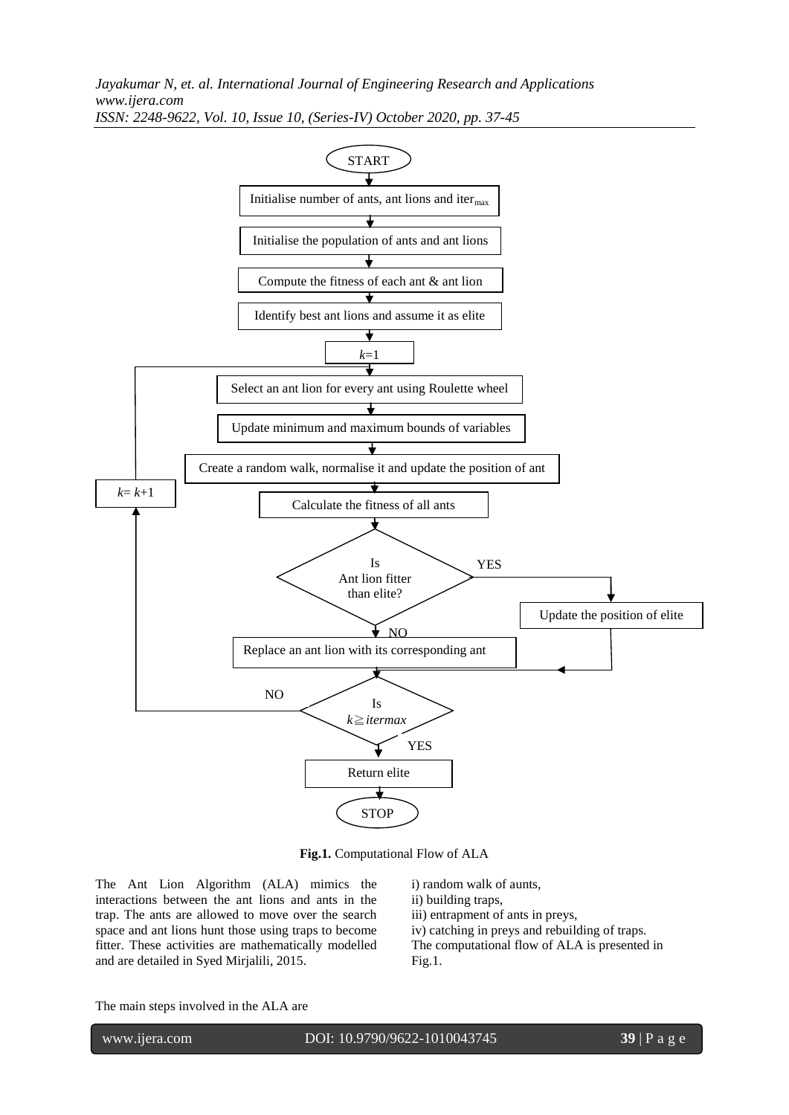

**Fig.1.** Computational Flow of ALA

The Ant Lion Algorithm (ALA) mimics the interactions between the ant lions and ants in the trap. The ants are allowed to move over the search space and ant lions hunt those using traps to become fitter. These activities are mathematically modelled and are detailed in Syed Mirjalili, 2015.

ii) building traps, iii) entrapment of ants in preys, iv) catching in preys and rebuilding of traps.

i) random walk of aunts,

The computational flow of ALA is presented in Fig.1.

The main steps involved in the ALA are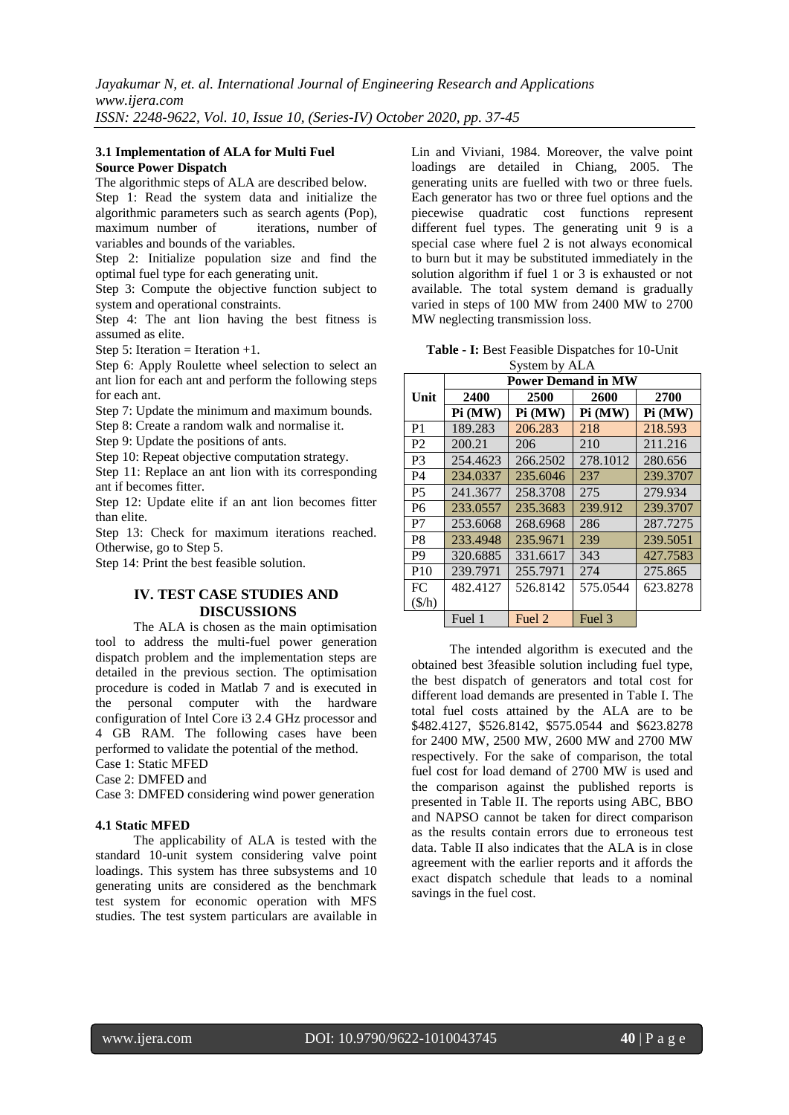# **3.1 Implementation of ALA for Multi Fuel Source Power Dispatch**

The algorithmic steps of ALA are described below. Step 1: Read the system data and initialize the algorithmic parameters such as search agents (Pop), iterations, number of variables and bounds of the variables.

Step 2: Initialize population size and find the optimal fuel type for each generating unit.

Step 3: Compute the objective function subject to system and operational constraints.

Step 4: The ant lion having the best fitness is assumed as elite.

Step 5: Iteration = Iteration  $+1$ .

Step 6: Apply Roulette wheel selection to select an ant lion for each ant and perform the following steps for each ant.

Step 7: Update the minimum and maximum bounds.

Step 8: Create a random walk and normalise it.

Step 9: Update the positions of ants.

Step 10: Repeat objective computation strategy.

Step 11: Replace an ant lion with its corresponding ant if becomes fitter.

Step 12: Update elite if an ant lion becomes fitter than elite.

Step 13: Check for maximum iterations reached. Otherwise, go to Step 5.

Step 14: Print the best feasible solution.

# **IV. TEST CASE STUDIES AND DISCUSSIONS**

The ALA is chosen as the main optimisation tool to address the multi-fuel power generation dispatch problem and the implementation steps are detailed in the previous section. The optimisation procedure is coded in Matlab 7 and is executed in the personal computer with the hardware configuration of Intel Core i3 2.4 GHz processor and 4 GB RAM. The following cases have been performed to validate the potential of the method.

Case 1: Static MFED

Case 2: DMFED and

Case 3: DMFED considering wind power generation

#### **4.1 Static MFED**

The applicability of ALA is tested with the standard 10-unit system considering valve point loadings. This system has three subsystems and 10 generating units are considered as the benchmark test system for economic operation with MFS studies. The test system particulars are available in

Lin and Viviani, 1984. Moreover, the valve point loadings are detailed in Chiang, 2005. The generating units are fuelled with two or three fuels. Each generator has two or three fuel options and the piecewise quadratic cost functions represent different fuel types. The generating unit  $9$  is a special case where fuel 2 is not always economical to burn but it may be substituted immediately in the solution algorithm if fuel 1 or 3 is exhausted or not available. The total system demand is gradually varied in steps of 100 MW from 2400 MW to 2700 MW neglecting transmission loss.

**Table - I:** Best Feasible Dispatches for 10-Unit System by ALA

|                 | <b>Power Demand in MW</b> |          |          |          |  |  |  |  |  |  |
|-----------------|---------------------------|----------|----------|----------|--|--|--|--|--|--|
| Unit            | 2400                      | 2500     | 2600     | 2700     |  |  |  |  |  |  |
|                 | Pi (MW)                   | Pi(MW)   | Pi(MW)   | Pi(MW)   |  |  |  |  |  |  |
| P <sub>1</sub>  | 189.283                   | 206.283  | 218      | 218.593  |  |  |  |  |  |  |
| P <sub>2</sub>  | 200.21                    | 206      | 210      | 211.216  |  |  |  |  |  |  |
| P <sub>3</sub>  | 254.4623                  | 266.2502 | 278.1012 | 280.656  |  |  |  |  |  |  |
| <b>P4</b>       | 234,0337                  | 235.6046 | 237      | 239,3707 |  |  |  |  |  |  |
| P <sub>5</sub>  | 241.3677                  | 258.3708 | 275      | 279.934  |  |  |  |  |  |  |
| <b>P6</b>       | 233,0557                  | 235.3683 | 239.912  | 239,3707 |  |  |  |  |  |  |
| P7              | 253.6068                  | 268.6968 | 286      | 287.7275 |  |  |  |  |  |  |
| P <sub>8</sub>  | 233.4948                  | 235,9671 | 239      | 239.5051 |  |  |  |  |  |  |
| P <sub>9</sub>  | 320.6885                  | 331.6617 | 343      | 427.7583 |  |  |  |  |  |  |
| P <sub>10</sub> | 239.7971                  | 255.7971 | 274      | 275.865  |  |  |  |  |  |  |
| FC              | 482.4127                  | 526.8142 | 575.0544 | 623.8278 |  |  |  |  |  |  |
| $(\frac{f}{h})$ |                           |          |          |          |  |  |  |  |  |  |
|                 | Fuel 1                    | Fuel 2   | Fuel 3   |          |  |  |  |  |  |  |

The intended algorithm is executed and the obtained best 3feasible solution including fuel type, the best dispatch of generators and total cost for different load demands are presented in Table I. The total fuel costs attained by the ALA are to be \$482.4127, \$526.8142, \$575.0544 and \$623.8278 for 2400 MW, 2500 MW, 2600 MW and 2700 MW respectively. For the sake of comparison, the total fuel cost for load demand of 2700 MW is used and the comparison against the published reports is presented in Table II. The reports using ABC, BBO and NAPSO cannot be taken for direct comparison as the results contain errors due to erroneous test data. Table II also indicates that the ALA is in close agreement with the earlier reports and it affords the exact dispatch schedule that leads to a nominal savings in the fuel cost.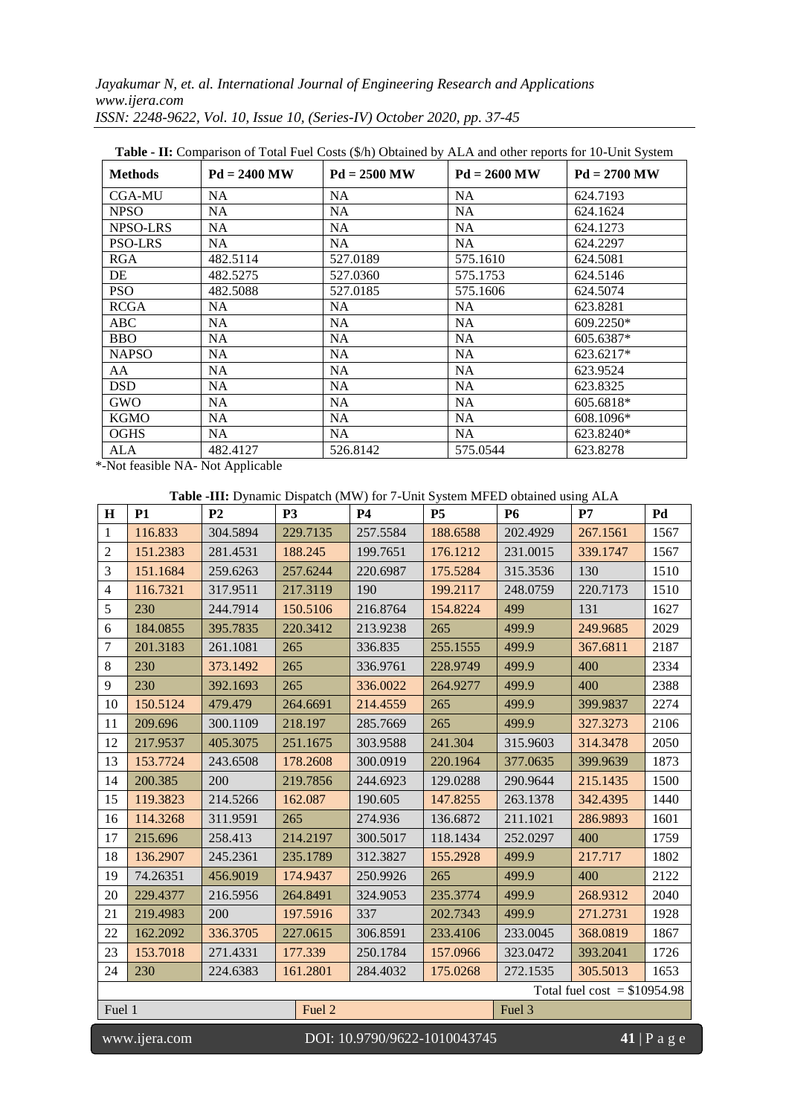| <b>Methods</b> | $Pd = 2400 MW$ | $Pd = 2500 MW$ | $Pd = 2600 MW$ | $Pd = 2700$ MW |
|----------------|----------------|----------------|----------------|----------------|
| <b>CGA-MU</b>  | NA.            | NA.            | NA.            | 624.7193       |
| <b>NPSO</b>    | NA.            | NA             | <b>NA</b>      | 624.1624       |
| NPSO-LRS       | NA.            | NA             | <b>NA</b>      | 624.1273       |
| <b>PSO-LRS</b> | NA             | NA             | <b>NA</b>      | 624.2297       |
| <b>RGA</b>     | 482.5114       | 527.0189       | 575.1610       | 624.5081       |
| DE             | 482.5275       | 527.0360       | 575.1753       | 624.5146       |
| <b>PSO</b>     | 482.5088       | 527.0185       | 575.1606       | 624.5074       |
| <b>RCGA</b>    | NA             | <b>NA</b>      | NA.            | 623.8281       |
| ABC            | NA.            | NA             | NA             | $609.2250*$    |
| <b>BBO</b>     | NA.            | NA             | <b>NA</b>      | 605.6387*      |
| <b>NAPSO</b>   | <b>NA</b>      | <b>NA</b>      | <b>NA</b>      | 623.6217*      |
| AA             | <b>NA</b>      | <b>NA</b>      | <b>NA</b>      | 623.9524       |
| <b>DSD</b>     | <b>NA</b>      | <b>NA</b>      | <b>NA</b>      | 623.8325       |
| <b>GWO</b>     | <b>NA</b>      | <b>NA</b>      | <b>NA</b>      | 605.6818*      |
| <b>KGMO</b>    | <b>NA</b>      | <b>NA</b>      | <b>NA</b>      | 608.1096*      |
| <b>OGHS</b>    | <b>NA</b>      | NA             | NA             | 623.8240*      |
| ALA            | 482.4127       | 526.8142       | 575.0544       | 623.8278       |

**Table - II:** Comparison of Total Fuel Costs (\$/h) Obtained by ALA and other reports for 10-Unit System

\*-Not feasible NA- Not Applicable

# **Table -III:** Dynamic Dispatch (MW) for 7-Unit System MFED obtained using ALA

| $\mathbf H$                   | <b>P1</b>                                                            | P <sub>2</sub> | P <sub>3</sub> | <b>P4</b> | P <sub>5</sub> | <b>P6</b> | P7       | Pd   |
|-------------------------------|----------------------------------------------------------------------|----------------|----------------|-----------|----------------|-----------|----------|------|
| $\mathbf{1}$                  | 116.833                                                              | 304.5894       | 229.7135       | 257.5584  | 188.6588       | 202.4929  | 267.1561 | 1567 |
| $\overline{2}$                | 151.2383                                                             | 281.4531       | 188.245        | 199.7651  | 176.1212       | 231.0015  | 339.1747 | 1567 |
| 3                             | 151.1684                                                             | 259.6263       | 257.6244       | 220.6987  | 175.5284       | 315.3536  | 130      | 1510 |
| $\overline{4}$                | 116.7321                                                             | 317.9511       | 217.3119       | 190       | 199.2117       | 248.0759  | 220.7173 | 1510 |
| 5                             | 230                                                                  | 244.7914       | 150.5106       | 216.8764  | 154.8224       | 499       | 131      | 1627 |
| 6                             | 184.0855                                                             | 395.7835       | 220.3412       | 213.9238  | 265            | 499.9     | 249.9685 | 2029 |
| $\tau$                        | 201.3183                                                             | 261.1081       | 265            | 336.835   | 255.1555       | 499.9     | 367.6811 | 2187 |
| $8\,$                         | 230                                                                  | 373.1492       | 265            | 336.9761  | 228.9749       | 499.9     | 400      | 2334 |
| 9                             | 230                                                                  | 392.1693       | 265            | 336.0022  | 264.9277       | 499.9     | 400      | 2388 |
| 10                            | 150.5124                                                             | 479.479        | 264.6691       | 214.4559  | 265            | 499.9     | 399.9837 | 2274 |
| 11                            | 209.696                                                              | 300.1109       | 218.197        | 285.7669  | 265            | 499.9     | 327.3273 | 2106 |
| 12                            | 217.9537                                                             | 405.3075       | 251.1675       | 303.9588  | 241.304        | 315.9603  | 314.3478 | 2050 |
| 13                            | 153.7724                                                             | 243.6508       | 178.2608       | 300.0919  | 220.1964       | 377.0635  | 399.9639 | 1873 |
| 14                            | 200.385                                                              | 200            | 219.7856       | 244.6923  | 129.0288       | 290.9644  | 215.1435 | 1500 |
| 15                            | 119.3823                                                             | 214.5266       | 162.087        | 190.605   | 147.8255       | 263.1378  | 342.4395 | 1440 |
| 16                            | 114.3268                                                             | 311.9591       | 265            | 274.936   | 136.6872       | 211.1021  | 286.9893 | 1601 |
| 17                            | 215.696                                                              | 258.413        | 214.2197       | 300.5017  | 118.1434       | 252.0297  | 400      | 1759 |
| 18                            | 136.2907                                                             | 245.2361       | 235.1789       | 312.3827  | 155.2928       | 499.9     | 217.717  | 1802 |
| 19                            | 74.26351                                                             | 456.9019       | 174.9437       | 250.9926  | 265            | 499.9     | 400      | 2122 |
| 20                            | 229.4377                                                             | 216.5956       | 264.8491       | 324.9053  | 235.3774       | 499.9     | 268.9312 | 2040 |
| 21                            | 219.4983                                                             | 200            | 197.5916       | 337       | 202.7343       | 499.9     | 271.2731 | 1928 |
| 22                            | 162.2092                                                             | 336.3705       | 227.0615       | 306.8591  | 233.4106       | 233.0045  | 368.0819 | 1867 |
| 23                            | 153.7018                                                             | 271.4331       | 177.339        | 250.1784  | 157.0966       | 323.0472  | 393.2041 | 1726 |
| 24                            | 230                                                                  | 224.6383       | 161.2801       | 284.4032  | 175.0268       | 272.1535  | 305.5013 | 1653 |
| Total fuel cost = $$10954.98$ |                                                                      |                |                |           |                |           |          |      |
| Fuel 1                        |                                                                      |                | Fuel 2         |           |                | Fuel 3    |          |      |
|                               | DOI: 10.9790/9622-1010043745<br>www.ijera.com<br>$41 \nvert P$ a g e |                |                |           |                |           |          |      |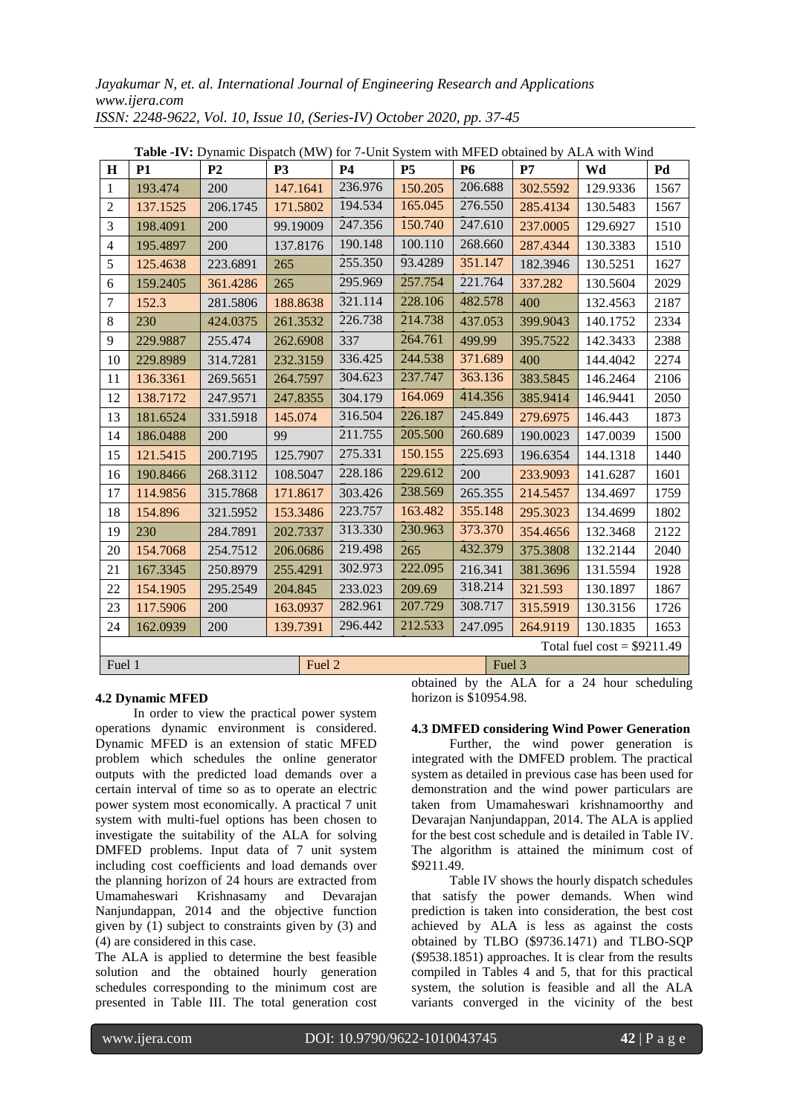| H                            | <b>P1</b>                  | P <sub>2</sub> | <b>P3</b> | <b>P4</b> | <b>P5</b> | <b>P6</b> | <b>Table "IV.</b> Dynamic Dispatch (MW) for 7-Only system with MITED obtained by ALA with Wind<br>P7 | Wd       | Pd   |
|------------------------------|----------------------------|----------------|-----------|-----------|-----------|-----------|------------------------------------------------------------------------------------------------------|----------|------|
| $\mathbf{1}$                 | 193.474                    | 200            | 147.1641  | 236.976   | 150.205   | 206.688   | 302.5592                                                                                             | 129.9336 | 1567 |
| $\overline{2}$               | 137.1525                   | 206.1745       | 171.5802  | 194.534   | 165.045   | 276.550   | 285.4134                                                                                             | 130.5483 | 1567 |
| 3                            | 198.4091                   | 200            | 99.19009  | 247.356   | 150.740   | 247.610   | 237.0005                                                                                             | 129.6927 | 1510 |
| 4                            | 195.4897                   | 200            | 137.8176  | 190.148   | 100.110   | 268.660   | 287.4344                                                                                             | 130.3383 | 1510 |
| 5                            | 125.4638                   | 223.6891       | 265       | 255.350   | 93.4289   | 351.147   | 182.3946                                                                                             | 130.5251 | 1627 |
| 6                            | 159.2405                   | 361.4286       | 265       | 295.969   | 257.754   | 221.764   | 337.282                                                                                              | 130.5604 | 2029 |
| $\tau$                       | 152.3                      | 281.5806       | 188.8638  | 321.114   | 228.106   | 482.578   | 400                                                                                                  | 132.4563 | 2187 |
| 8                            | 230                        | 424.0375       | 261.3532  | 226.738   | 214.738   | 437.053   | 399.9043                                                                                             | 140.1752 | 2334 |
| 9                            | 229.9887                   | 255.474        | 262.6908  | 337       | 264.761   | 499.99    | 395.7522                                                                                             | 142.3433 | 2388 |
| 10                           | 229.8989                   | 314.7281       | 232.3159  | 336.425   | 244.538   | 371.689   | 400                                                                                                  | 144.4042 | 2274 |
| 11                           | 136.3361                   | 269.5651       | 264.7597  | 304.623   | 237.747   | 363.136   | 383.5845                                                                                             | 146.2464 | 2106 |
| 12                           | 138.7172                   | 247.9571       | 247.8355  | 304.179   | 164.069   | 414.356   | 385.9414                                                                                             | 146.9441 | 2050 |
| 13                           | 181.6524                   | 331.5918       | 145.074   | 316.504   | 226.187   | 245.849   | 279.6975                                                                                             | 146.443  | 1873 |
| 14                           | 186.0488                   | 200            | 99        | 211.755   | 205.500   | 260.689   | 190.0023                                                                                             | 147.0039 | 1500 |
| 15                           | 121.5415                   | 200.7195       | 125.7907  | 275.331   | 150.155   | 225.693   | 196.6354                                                                                             | 144.1318 | 1440 |
| 16                           | 190.8466                   | 268.3112       | 108.5047  | 228.186   | 229.612   | 200       | 233.9093                                                                                             | 141.6287 | 1601 |
| 17                           | 114.9856                   | 315.7868       | 171.8617  | 303.426   | 238.569   | 265.355   | 214.5457                                                                                             | 134.4697 | 1759 |
| 18                           | 154.896                    | 321.5952       | 153.3486  | 223.757   | 163.482   | 355.148   | 295.3023                                                                                             | 134.4699 | 1802 |
| 19                           | 230                        | 284.7891       | 202.7337  | 313.330   | 230.963   | 373.370   | 354.4656                                                                                             | 132.3468 | 2122 |
| 20                           | 154.7068                   | 254.7512       | 206.0686  | 219.498   | 265       | 432.379   | 375.3808                                                                                             | 132.2144 | 2040 |
| 21                           | 167.3345                   | 250.8979       | 255.4291  | 302.973   | 222.095   | 216.341   | 381.3696                                                                                             | 131.5594 | 1928 |
| 22                           | 154.1905                   | 295.2549       | 204.845   | 233.023   | 209.69    | 318.214   | 321.593                                                                                              | 130.1897 | 1867 |
| 23                           | 117.5906                   | 200            | 163.0937  | 282.961   | 207.729   | 308.717   | 315.5919                                                                                             | 130.3156 | 1726 |
| 24                           | 162.0939                   | 200            | 139.7391  | 296.442   | 212.533   | 247.095   | 264.9119                                                                                             | 130.1835 | 1653 |
| Total fuel $cost = $9211.49$ |                            |                |           |           |           |           |                                                                                                      |          |      |
|                              | Fuel 1<br>Fuel 2<br>Fuel 3 |                |           |           |           |           |                                                                                                      |          |      |

**Table -IV:** Dynamic Dispatch (MW) for 7-Unit System with MFED obtained by ALA with Wind

# **4.2 Dynamic MFED**

In order to view the practical power system operations dynamic environment is considered. Dynamic MFED is an extension of static MFED problem which schedules the online generator outputs with the predicted load demands over a certain interval of time so as to operate an electric power system most economically. A practical 7 unit system with multi-fuel options has been chosen to investigate the suitability of the ALA for solving DMFED problems. Input data of 7 unit system including cost coefficients and load demands over the planning horizon of 24 hours are extracted from Umamaheswari Krishnasamy and Devarajan Nanjundappan, 2014 and the objective function given by  $(1)$  subject to constraints given by  $(3)$  and (4) are considered in this case.

The ALA is applied to determine the best feasible solution and the obtained hourly generation schedules corresponding to the minimum cost are presented in Table III. The total generation cost

obtained by the ALA for a 24 hour scheduling horizon is \$10954.98.

#### **4.3 DMFED considering Wind Power Generation**

Further, the wind power generation is integrated with the DMFED problem. The practical system as detailed in previous case has been used for demonstration and the wind power particulars are taken from Umamaheswari krishnamoorthy and Devarajan Nanjundappan, 2014. The ALA is applied for the best cost schedule and is detailed in Table IV. The algorithm is attained the minimum cost of \$9211.49.

Table IV shows the hourly dispatch schedules that satisfy the power demands. When wind prediction is taken into consideration, the best cost achieved by ALA is less as against the costs obtained by TLBO (\$9736.1471) and TLBO-SQP (\$9538.1851) approaches. It is clear from the results compiled in Tables 4 and 5, that for this practical system, the solution is feasible and all the ALA variants converged in the vicinity of the best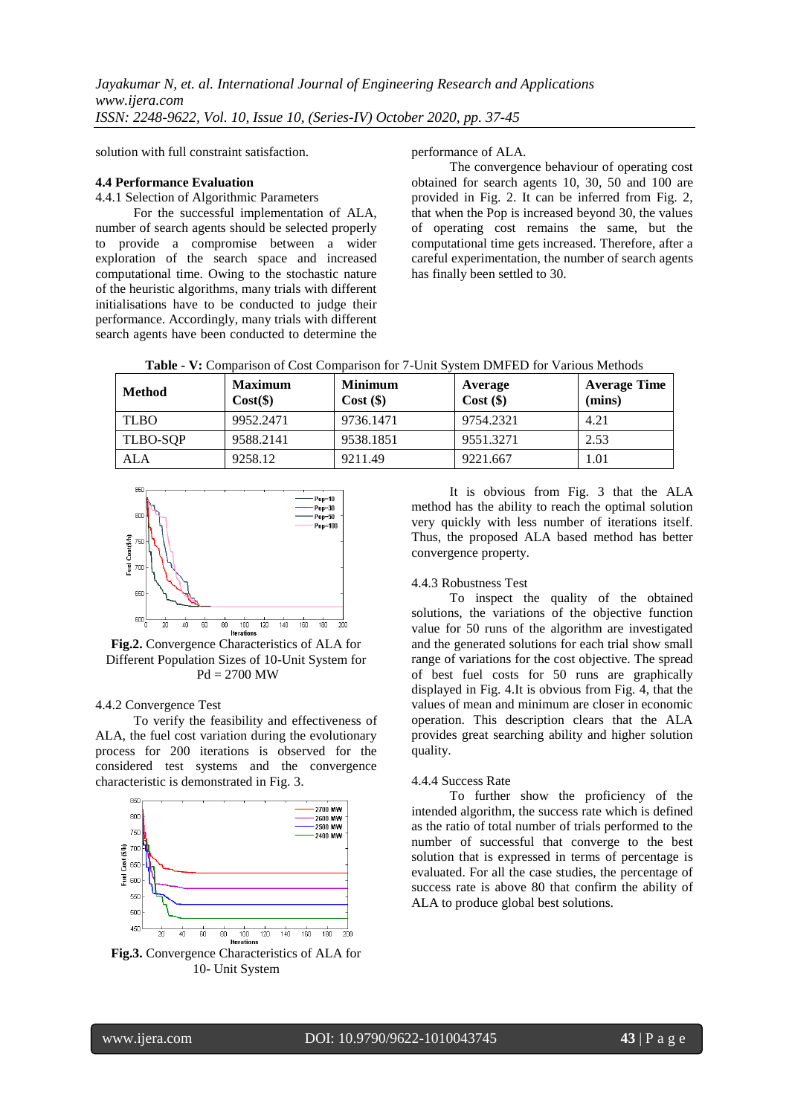solution with full constraint satisfaction.

#### **4.4 Performance Evaluation**

4.4.1 Selection of Algorithmic Parameters

For the successful implementation of ALA, number of search agents should be selected properly to provide a compromise between a wider exploration of the search space and increased computational time. Owing to the stochastic nature of the heuristic algorithms, many trials with different initialisations have to be conducted to judge their performance. Accordingly, many trials with different search agents have been conducted to determine the

performance of ALA.

The convergence behaviour of operating cost obtained for search agents 10, 30, 50 and 100 are provided in Fig. 2. It can be inferred from Fig. 2, that when the Pop is increased beyond 30, the values of operating cost remains the same, but the computational time gets increased. Therefore, after a careful experimentation, the number of search agents has finally been settled to 30.

|  |  | Table - V: Comparison of Cost Comparison for 7-Unit System DMFED for Various Methods |  |  |  |
|--|--|--------------------------------------------------------------------------------------|--|--|--|
|  |  |                                                                                      |  |  |  |

| <b>Method</b> | <b>Maximum</b><br>$Cost(\$))$ | <b>Minimum</b><br>$Cost($ \$) | Average<br>$Cost$ (\$) | <b>Average Time</b><br>(mins) |
|---------------|-------------------------------|-------------------------------|------------------------|-------------------------------|
| <b>TLBO</b>   | 9952.2471                     | 9736.1471                     | 9754.2321              | 4.21                          |
| TLBO-SOP      | 9588.2141                     | 9538.1851                     | 9551.3271              | 2.53                          |
| ALA           | 9258.12                       | 9211.49                       | 9221.667               | 1.01                          |



**Fig.2.** Convergence Characteristics of ALA for Different Population Sizes of 10-Unit System for  $Pd = 2700$  MW

#### 4.4.2 Convergence Test

To verify the feasibility and effectiveness of ALA, the fuel cost variation during the evolutionary process for 200 iterations is observed for the considered test systems and the convergence characteristic is demonstrated in Fig. 3.



**Fig.3.** Convergence Characteristics of ALA for 10- Unit System

It is obvious from Fig. 3 that the ALA method has the ability to reach the optimal solution very quickly with less number of iterations itself. Thus, the proposed ALA based method has better convergence property.

#### 4.4.3 Robustness Test

To inspect the quality of the obtained solutions, the variations of the objective function value for 50 runs of the algorithm are investigated and the generated solutions for each trial show small range of variations for the cost objective. The spread of best fuel costs for 50 runs are graphically displayed in Fig. 4.It is obvious from Fig. 4, that the values of mean and minimum are closer in economic operation. This description clears that the ALA provides great searching ability and higher solution quality.

#### 4.4.4 Success Rate

To further show the proficiency of the intended algorithm, the success rate which is defined as the ratio of total number of trials performed to the number of successful that converge to the best solution that is expressed in terms of percentage is evaluated. For all the case studies, the percentage of success rate is above 80 that confirm the ability of ALA to produce global best solutions.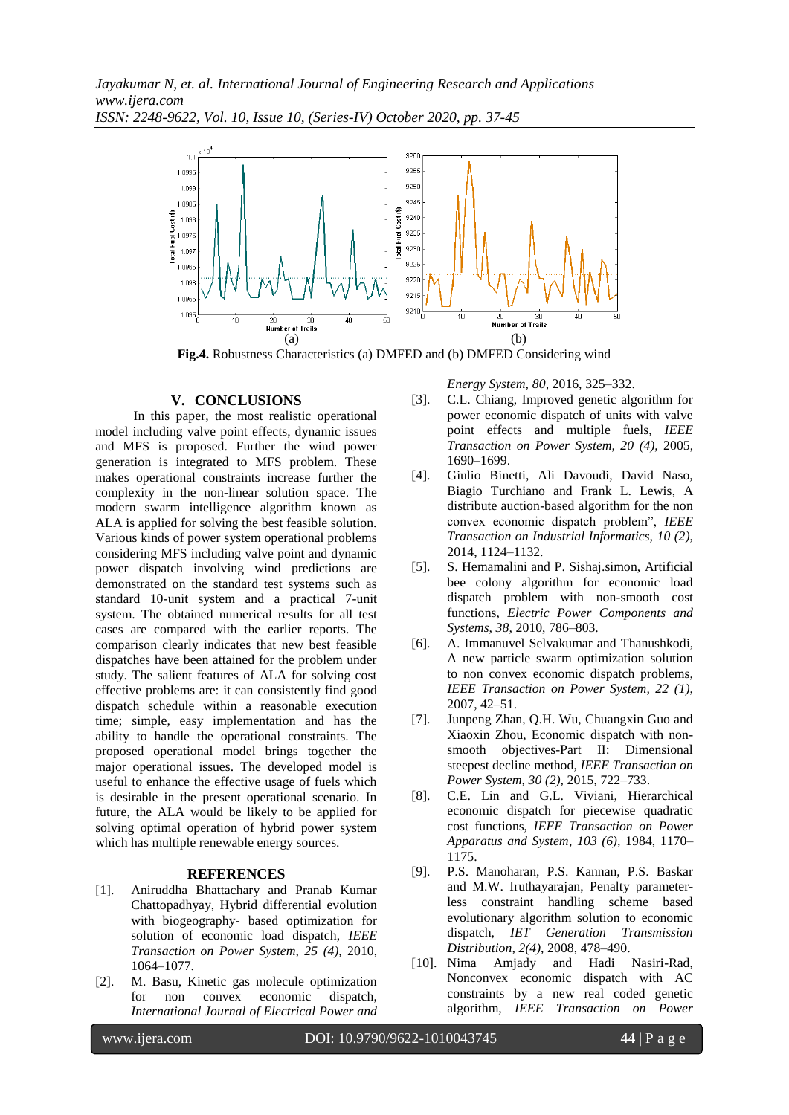

**Fig.4.** Robustness Characteristics (a) DMFED and (b) DMFED Considering wind

#### **V. CONCLUSIONS**

In this paper, the most realistic operational model including valve point effects, dynamic issues and MFS is proposed. Further the wind power generation is integrated to MFS problem. These makes operational constraints increase further the complexity in the non-linear solution space. The modern swarm intelligence algorithm known as ALA is applied for solving the best feasible solution. Various kinds of power system operational problems considering MFS including valve point and dynamic power dispatch involving wind predictions are demonstrated on the standard test systems such as standard 10-unit system and a practical 7-unit system. The obtained numerical results for all test cases are compared with the earlier reports. The comparison clearly indicates that new best feasible dispatches have been attained for the problem under study. The salient features of ALA for solving cost effective problems are: it can consistently find good dispatch schedule within a reasonable execution time; simple, easy implementation and has the ability to handle the operational constraints. The proposed operational model brings together the major operational issues. The developed model is useful to enhance the effective usage of fuels which is desirable in the present operational scenario. In future, the ALA would be likely to be applied for solving optimal operation of hybrid power system which has multiple renewable energy sources.

#### **REFERENCES**

- [1]. Aniruddha Bhattachary and Pranab Kumar Chattopadhyay, Hybrid differential evolution with biogeography- based optimization for solution of economic load dispatch, *IEEE Transaction on Power System, 25 (4),* 2010, 1064–1077.
- [2]. M. Basu, Kinetic gas molecule optimization for non convex economic dispatch, *International Journal of Electrical Power and*

*Energy System, 80,* 2016, 325–332.

- [3]. C.L. Chiang, Improved genetic algorithm for power economic dispatch of units with valve point effects and multiple fuels, *IEEE Transaction on Power System, 20 (4),* 2005, 1690–1699.
- [4]. Giulio Binetti, Ali Davoudi, David Naso, Biagio Turchiano and Frank L. Lewis, A distribute auction-based algorithm for the non convex economic dispatch problem", *IEEE Transaction on Industrial Informatics, 10 (2)*, 2014, 1124–1132.
- [5]. S. Hemamalini and P. Sishaj.simon, Artificial bee colony algorithm for economic load dispatch problem with non-smooth cost functions, *Electric Power Components and Systems, 38,* 2010, 786–803.
- [6]. A. Immanuvel Selvakumar and Thanushkodi, A new particle swarm optimization solution to non convex economic dispatch problems, *IEEE Transaction on Power System, 22 (1)*, 2007, 42–51.
- [7]. Junpeng Zhan, Q.H. Wu, Chuangxin Guo and Xiaoxin Zhou, Economic dispatch with nonsmooth objectives-Part II: Dimensional steepest decline method, *IEEE Transaction on Power System, 30 (2)*, 2015, 722–733.
- [8]. C.E. Lin and G.L. Viviani, Hierarchical economic dispatch for piecewise quadratic cost functions, *IEEE Transaction on Power Apparatus and System, 103 (6),* 1984, 1170– 1175.
- [9]. P.S. Manoharan, P.S. Kannan, P.S. Baskar and M.W. Iruthayarajan, Penalty parameterless constraint handling scheme based evolutionary algorithm solution to economic dispatch, *IET Generation Transmission Distribution, 2(4)*, 2008, 478–490.
- [10]. Nima Amjady and Hadi Nasiri-Rad, Nonconvex economic dispatch with AC constraints by a new real coded genetic algorithm, *IEEE Transaction on Power*